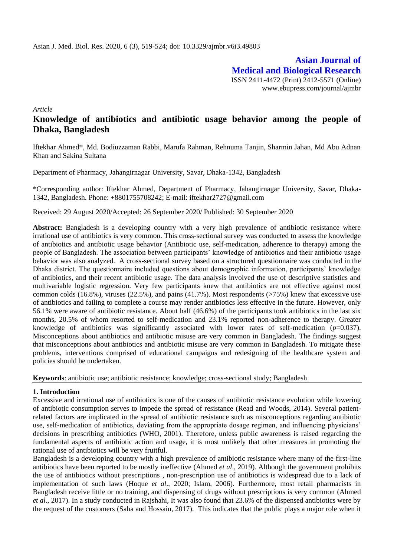**Asian Journal of Medical and Biological Research** ISSN 2411-4472 (Print) 2412-5571 (Online) www.ebupress.com/journal/ajmbr

*Article*

# **Knowledge of antibiotics and antibiotic usage behavior among the people of Dhaka, Bangladesh**

Iftekhar Ahmed\*, Md. Bodiuzzaman Rabbi, Marufa Rahman, Rehnuma Tanjin, Sharmin Jahan, Md Abu Adnan Khan and Sakina Sultana

Department of Pharmacy, Jahangirnagar University, Savar, Dhaka-1342, Bangladesh

\*Corresponding author: Iftekhar Ahmed, Department of Pharmacy, Jahangirnagar University, Savar, Dhaka-1342, Bangladesh. Phone: +8801755708242; E-mail: iftekhar2727@gmail.com

Received: 29 August 2020/Accepted: 26 September 2020/ Published: 30 September 2020

Abstract: Bangladesh is a developing country with a very high prevalence of antibiotic resistance where irrational use of antibiotics is very common. This cross-sectional survey was conducted to assess the knowledge of antibiotics and antibiotic usage behavior (Antibiotic use, self-medication, adherence to therapy) among the people of Bangladesh. The association between participants' knowledge of antibiotics and their antibiotic usage behavior was also analyzed. A cross-sectional survey based on a structured questionnaire was conducted in the Dhaka district. The questionnaire included questions about demographic information, participants' knowledge of antibiotics, and their recent antibiotic usage. The data analysis involved the use of descriptive statistics and multivariable logistic regression. Very few participants knew that antibiotics are not effective against most common colds (16.8%), viruses (22.5%), and pains (41.7%). Most respondents ( $>75\%$ ) knew that excessive use of antibiotics and failing to complete a course may render antibiotics less effective in the future. However, only 56.1% were aware of antibiotic resistance. About half (46.6%) of the participants took antibiotics in the last six months, 20.5% of whom resorted to self-medication and 23.1% reported non-adherence to therapy. Greater knowledge of antibiotics was significantly associated with lower rates of self-medication (*p*=0.037). Misconceptions about antibiotics and antibiotic misuse are very common in Bangladesh. The findings suggest that misconceptions about antibiotics and antibiotic misuse are very common in Bangladesh. To mitigate these problems, interventions comprised of educational campaigns and redesigning of the healthcare system and policies should be undertaken.

**Keywords**: antibiotic use; antibiotic resistance; knowledge; cross-sectional study; Bangladesh

## **1. Introduction**

Excessive and irrational use of antibiotics is one of the causes of antibiotic resistance evolution while lowering of antibiotic consumption serves to impede the spread of resistance (Read and Woods, 2014). Several patientrelated factors are implicated in the spread of antibiotic resistance such as misconceptions regarding antibiotic use, self-medication of antibiotics, deviating from the appropriate dosage regimen, and influencing physicians' decisions in prescribing antibiotics (WHO, 2001). Therefore, unless public awareness is raised regarding the fundamental aspects of antibiotic action and usage, it is most unlikely that other measures in promoting the rational use of antibiotics will be very fruitful.

Bangladesh is a developing country with a high prevalence of antibiotic resistance where many of the first-line antibiotics have been reported to be mostly ineffective (Ahmed *et al*., 2019). Although the government prohibits the use of antibiotics without prescriptions , non-prescription use of antibiotics is widespread due to a lack of implementation of such laws (Hoque *et al*., 2020; Islam, 2006). Furthermore, most retail pharmacists in Bangladesh receive little or no training, and dispensing of drugs without prescriptions is very common (Ahmed *et al*., 2017). In a study conducted in Rajshahi, It was also found that 23.6% of the dispensed antibiotics were by the request of the customers (Saha and Hossain, 2017). This indicates that the public plays a major role when it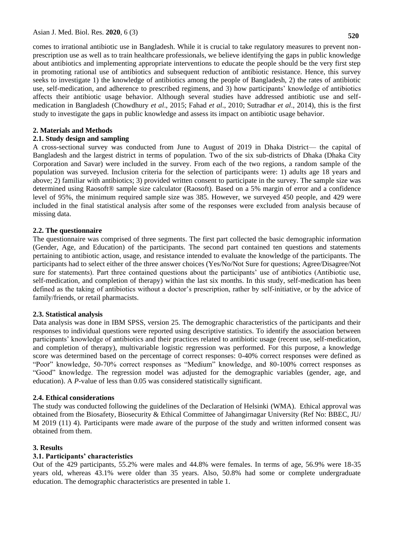**520**

comes to irrational antibiotic use in Bangladesh. While it is crucial to take regulatory measures to prevent nonprescription use as well as to train healthcare professionals, we believe identifying the gaps in public knowledge about antibiotics and implementing appropriate interventions to educate the people should be the very first step in promoting rational use of antibiotics and subsequent reduction of antibiotic resistance. Hence, this survey seeks to investigate 1) the knowledge of antibiotics among the people of Bangladesh, 2) the rates of antibiotic use, self-medication, and adherence to prescribed regimens, and 3) how participants' knowledge of antibiotics affects their antibiotic usage behavior. Although several studies have addressed antibiotic use and selfmedication in Bangladesh (Chowdhury *et al*., 2015; Fahad *et al*., 2010; Sutradhar *et al*., 2014), this is the first study to investigate the gaps in public knowledge and assess its impact on antibiotic usage behavior.

## **2. Materials and Methods**

## **2.1. Study design and sampling**

A cross-sectional survey was conducted from June to August of 2019 in Dhaka District— the capital of Bangladesh and the largest district in terms of population. Two of the six sub-districts of Dhaka (Dhaka City Corporation and Savar) were included in the survey. From each of the two regions, a random sample of the population was surveyed. Inclusion criteria for the selection of participants were: 1) adults age 18 years and above; 2) familiar with antibiotics; 3) provided written consent to participate in the survey. The sample size was determined using Raosoft® sample size calculator (Raosoft). Based on a 5% margin of error and a confidence level of 95%, the minimum required sample size was 385. However, we surveyed 450 people, and 429 were included in the final statistical analysis after some of the responses were excluded from analysis because of missing data.

## **2.2. The questionnaire**

The questionnaire was comprised of three segments. The first part collected the basic demographic information (Gender, Age, and Education) of the participants. The second part contained ten questions and statements pertaining to antibiotic action, usage, and resistance intended to evaluate the knowledge of the participants. The participants had to select either of the three answer choices (Yes/No/Not Sure for questions; Agree/Disagree/Not sure for statements). Part three contained questions about the participants' use of antibiotics (Antibiotic use, self-medication, and completion of therapy) within the last six months. In this study, self-medication has been defined as the taking of antibiotics without a doctor's prescription, rather by self-initiative, or by the advice of family/friends, or retail pharmacists.

## **2.3. Statistical analysis**

Data analysis was done in IBM SPSS, version 25. The demographic characteristics of the participants and their responses to individual questions were reported using descriptive statistics. To identify the association between participants' knowledge of antibiotics and their practices related to antibiotic usage (recent use, self-medication, and completion of therapy), multivariable logistic regression was performed. For this purpose, a knowledge score was determined based on the percentage of correct responses: 0-40% correct responses were defined as "Poor" knowledge, 50-70% correct responses as "Medium" knowledge, and 80-100% correct responses as ―Good‖ knowledge. The regression model was adjusted for the demographic variables (gender, age, and education). A *P*-value of less than 0.05 was considered statistically significant.

## **2.4. Ethical considerations**

The study was conducted following the guidelines of the Declaration of Helsinki (WMA). Ethical approval was obtained from the Biosafety, Biosecurity & Ethical Committee of Jahangirnagar University (Ref No: BBEC, JU/ M 2019 (11) 4). Participants were made aware of the purpose of the study and written informed consent was obtained from them.

## **3. Results**

# **3.1. Participants' characteristics**

Out of the 429 participants, 55.2% were males and 44.8% were females. In terms of age, 56.9% were 18-35 years old, whereas 43.1% were older than 35 years. Also, 50.8% had some or complete undergraduate education. The demographic characteristics are presented in table 1.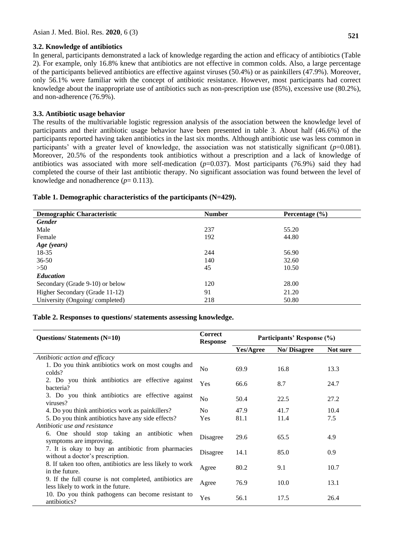#### **3.2. Knowledge of antibiotics**

In general, participants demonstrated a lack of knowledge regarding the action and efficacy of antibiotics (Table 2). For example, only 16.8% knew that antibiotics are not effective in common colds. Also, a large percentage of the participants believed antibiotics are effective against viruses (50.4%) or as painkillers (47.9%). Moreover, only 56.1% were familiar with the concept of antibiotic resistance. However, most participants had correct knowledge about the inappropriate use of antibiotics such as non-prescription use (85%), excessive use (80.2%), and non-adherence (76.9%).

## **3.3. Antibiotic usage behavior**

The results of the multivariable logistic regression analysis of the association between the knowledge level of participants and their antibiotic usage behavior have been presented in table 3. About half (46.6%) of the participants reported having taken antibiotics in the last six months. Although antibiotic use was less common in participants' with a greater level of knowledge, the association was not statistically significant (*p*=0.081). Moreover, 20.5% of the respondents took antibiotics without a prescription and a lack of knowledge of antibiotics was associated with more self-medication  $(p=0.037)$ . Most participants (76.9%) said they had completed the course of their last antibiotic therapy. No significant association was found between the level of knowledge and nonadherence  $(p= 0.113)$ .

| Table 1. Demographic characteristics of the participants (N=429). |  |  |
|-------------------------------------------------------------------|--|--|
|-------------------------------------------------------------------|--|--|

| <b>Demographic Characteristic</b> | <b>Number</b> | Percentage $(\% )$ |
|-----------------------------------|---------------|--------------------|
| <b>Gender</b>                     |               |                    |
| Male                              | 237           | 55.20              |
| Female                            | 192           | 44.80              |
| Age (years)                       |               |                    |
| 18-35                             | 244           | 56.90              |
| $36 - 50$                         | 140           | 32.60              |
| >50                               | 45            | 10.50              |
| <b>Education</b>                  |               |                    |
| Secondary (Grade 9-10) or below   | 120           | 28.00              |
| Higher Secondary (Grade 11-12)    | 91            | 21.20              |
| University (Ongoing/completed)    | 218           | 50.80              |

## **Table 2. Responses to questions/ statements assessing knowledge.**

| <b>Questions/Statements (N=10)</b>                                                            | <b>Correct</b><br><b>Response</b> | Participants' Response (%) |             |          |
|-----------------------------------------------------------------------------------------------|-----------------------------------|----------------------------|-------------|----------|
|                                                                                               |                                   | Yes/Agree                  | No/Disagree | Not sure |
| Antibiotic action and efficacy                                                                |                                   |                            |             |          |
| 1. Do you think antibiotics work on most coughs and<br>colds?                                 | N <sub>0</sub>                    | 69.9                       | 16.8        | 13.3     |
| 2. Do you think antibiotics are effective against<br>bacteria?                                | Yes                               | 66.6                       | 8.7         | 24.7     |
| 3. Do you think antibiotics are effective against<br>viruses?                                 | N <sub>0</sub>                    | 50.4                       | 22.5        | 27.2     |
| 4. Do you think antibiotics work as painkillers?                                              | N <sub>0</sub>                    | 47.9                       | 41.7        | 10.4     |
| 5. Do you think antibiotics have any side effects?                                            | <b>Yes</b>                        | 81.1                       | 11.4        | 7.5      |
| Antibiotic use and resistance                                                                 |                                   |                            |             |          |
| 6. One should stop taking an antibiotic when<br>symptoms are improving.                       | Disagree                          | 29.6                       | 65.5        | 4.9      |
| 7. It is okay to buy an antibiotic from pharmacies<br>without a doctor's prescription.        | Disagree                          | 14.1                       | 85.0        | 0.9      |
| 8. If taken too often, antibiotics are less likely to work<br>in the future.                  | Agree                             | 80.2                       | 9.1         | 10.7     |
| 9. If the full course is not completed, antibiotics are<br>less likely to work in the future. | Agree                             | 76.9                       | 10.0        | 13.1     |
| 10. Do you think pathogens can become resistant to<br>antibiotics?                            | Yes                               | 56.1                       | 17.5        | 26.4     |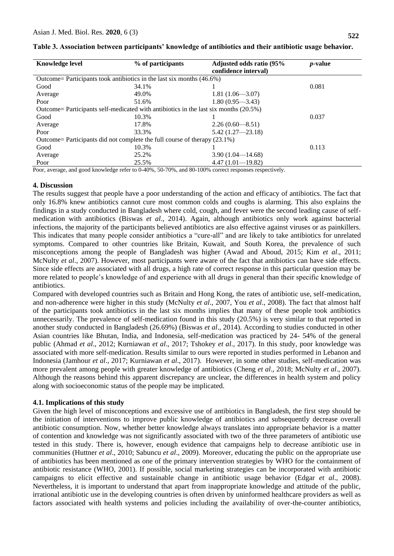| <b>Knowledge level</b>                                                               | % of participants | Adjusted odds ratio (95%<br>confidence interval) | <i>p</i> -value |  |  |  |
|--------------------------------------------------------------------------------------|-------------------|--------------------------------------------------|-----------------|--|--|--|
| Outcome= Participants took antibiotics in the last six months (46.6%)                |                   |                                                  |                 |  |  |  |
| Good                                                                                 | 34.1%             |                                                  | 0.081           |  |  |  |
| Average                                                                              | 49.0%             | $1.81(1.06 - 3.07)$                              |                 |  |  |  |
| Poor                                                                                 | 51.6%             | $1.80(0.95 - 3.43)$                              |                 |  |  |  |
| Outcome= Participants self-medicated with antibiotics in the last six months (20.5%) |                   |                                                  |                 |  |  |  |
| Good                                                                                 | 10.3%             |                                                  | 0.037           |  |  |  |
| Average                                                                              | 17.8%             | $2.26(0.60 - 8.51)$                              |                 |  |  |  |
| Poor                                                                                 | 33.3%             | $5.42(1.27 - 23.18)$                             |                 |  |  |  |
| Outcome= Participants did not complete the full course of therapy (23.1%)            |                   |                                                  |                 |  |  |  |
| Good                                                                                 | 10.3%             |                                                  | 0.113           |  |  |  |
| Average                                                                              | 25.2%             | $3.90(1.04 - 14.68)$                             |                 |  |  |  |
| Poor                                                                                 | 25.5%             | $4.47(1.01 - 19.82)$                             |                 |  |  |  |

**Table 3. Association between participants' knowledge of antibiotics and their antibiotic usage behavior.**

Poor, average, and good knowledge refer to 0-40%, 50-70%, and 80-100% correct responses respectively.

## **4. Discussion**

The results suggest that people have a poor understanding of the action and efficacy of antibiotics. The fact that only 16.8% knew antibiotics cannot cure most common colds and coughs is alarming. This also explains the findings in a study conducted in Bangladesh where cold, cough, and fever were the second leading cause of selfmedication with antibiotics (Biswas *et al*., 2014). Again, although antibiotics only work against bacterial infections, the majority of the participants believed antibiotics are also effective against viruses or as painkillers. This indicates that many people consider antibiotics a "cure-all" and are likely to take antibiotics for unrelated symptoms. Compared to other countries like Britain, Kuwait, and South Korea, the prevalence of such misconceptions among the people of Bangladesh was higher (Awad and Aboud, 2015; Kim *et al*., 2011; McNulty *et al*., 2007). However, most participants were aware of the fact that antibiotics can have side effects. Since side effects are associated with all drugs, a high rate of correct response in this particular question may be more related to people's knowledge of and experience with all drugs in general than their specific knowledge of antibiotics.

Compared with developed countries such as Britain and Hong Kong, the rates of antibiotic use, self-medication, and non-adherence were higher in this study (McNulty *et al*., 2007, You *et al*., 2008). The fact that almost half of the participants took antibiotics in the last six months implies that many of these people took antibiotics unnecessarily. The prevalence of self-medication found in this study (20.5%) is very similar to that reported in another study conducted in Bangladesh (26.69%) (Biswas *et al*., 2014). According to studies conducted in other Asian countries like Bhutan, India, and Indonesia, self-medication was practiced by 24- 54% of the general public (Ahmad *et al*., 2012; Kurniawan *et al*., 2017; Tshokey *et al*., 2017). In this study, poor knowledge was associated with more self-medication. Results similar to ours were reported in studies performed in Lebanon and Indonesia (Jamhour *et al*., 2017; Kurniawan *et al*., 2017). However, in some other studies, self-medication was more prevalent among people with greater knowledge of antibiotics (Cheng *et al*., 2018; McNulty *et al*., 2007). Although the reasons behind this apparent discrepancy are unclear, the differences in health system and policy along with socioeconomic status of the people may be implicated.

## **4.1. Implications of this study**

Given the high level of misconceptions and excessive use of antibiotics in Bangladesh, the first step should be the initiation of interventions to improve public knowledge of antibiotics and subsequently decrease overall antibiotic consumption. Now, whether better knowledge always translates into appropriate behavior is a matter of contention and knowledge was not significantly associated with two of the three parameters of antibiotic use tested in this study. There is, however, enough evidence that campaigns help to decrease antibiotic use in communities (Huttner *et al*., 2010; Sabuncu *et al*., 2009). Moreover, educating the public on the appropriate use of antibiotics has been mentioned as one of the primary intervention strategies by WHO for the containment of antibiotic resistance (WHO, 2001). If possible, social marketing strategies can be incorporated with antibiotic campaigns to elicit effective and sustainable change in antibiotic usage behavior (Edgar *et al*., 2008). Nevertheless, it is important to understand that apart from inappropriate knowledge and attitude of the public, irrational antibiotic use in the developing countries is often driven by uninformed healthcare providers as well as factors associated with health systems and policies including the availability of over-the-counter antibiotics,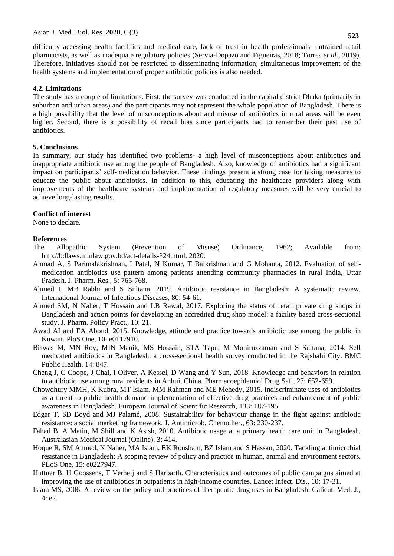difficulty accessing health facilities and medical care, lack of trust in health professionals, untrained retail pharmacists, as well as inadequate regulatory policies (Servia-Dopazo and Figueiras, 2018; Torres *et al*., 2019). Therefore, initiatives should not be restricted to disseminating information; simultaneous improvement of the health systems and implementation of proper antibiotic policies is also needed.

#### **4.2. Limitations**

The study has a couple of limitations. First, the survey was conducted in the capital district Dhaka (primarily in suburban and urban areas) and the participants may not represent the whole population of Bangladesh. There is a high possibility that the level of misconceptions about and misuse of antibiotics in rural areas will be even higher. Second, there is a possibility of recall bias since participants had to remember their past use of antibiotics.

#### **5. Conclusions**

In summary, our study has identified two problems- a high level of misconceptions about antibiotics and inappropriate antibiotic use among the people of Bangladesh. Also, knowledge of antibiotics had a significant impact on participants' self-medication behavior. These findings present a strong case for taking measures to educate the public about antibiotics. In addition to this, educating the healthcare providers along with improvements of the healthcare systems and implementation of regulatory measures will be very crucial to achieve long-lasting results.

#### **Conflict of interest**

None to declare.

#### **References**

- The Allopathic System (Prevention of Misuse) Ordinance, 1962; Available from: [http://bdlaws.minlaw.gov.bd/act-details-324.html.](http://bdlaws.minlaw.gov.bd/act-details-324.html) 2020.
- Ahmad A, S Parimalakrishnan, I Patel, N Kumar, T Balkrishnan and G Mohanta, 2012. Evaluation of selfmedication antibiotics use pattern among patients attending community pharmacies in rural India, Uttar Pradesh. J. Pharm. Res., 5: 765-768.
- Ahmed I, MB Rabbi and S Sultana, 2019. Antibiotic resistance in Bangladesh: A systematic review. International Journal of Infectious Diseases, 80: 54-61.
- Ahmed SM, N Naher, T Hossain and LB Rawal, 2017. Exploring the status of retail private drug shops in Bangladesh and action points for developing an accredited drug shop model: a facility based cross-sectional study. J. Pharm. Policy Pract., 10: 21.
- Awad AI and EA Aboud, 2015. Knowledge, attitude and practice towards antibiotic use among the public in Kuwait. PloS One, 10: e0117910.
- Biswas M, MN Roy, MIN Manik, MS Hossain, STA Tapu, M Moniruzzaman and [S Sultana,](https://pubmed.ncbi.nlm.nih.gov/?term=Sultana+S&cauthor_id=25124712) 2014. Self medicated antibiotics in Bangladesh: a cross-sectional health survey conducted in the Rajshahi City. BMC Public Health, 14: 847.
- Cheng J, C Coope, J Chai, I Oliver, A Kessel, D Wang and [Y Sun,](https://onlinelibrary.wiley.com/action/doSearch?ContribAuthorStored=Sun%2C+Yehuan) 2018. Knowledge and behaviors in relation to antibiotic use among rural residents in Anhui, China. Pharmacoepidemiol Drug Saf., 27: 652-659.
- Chowdhury MMH, K Kubra, MT Islam, MM Rahman and ME Mehedy, 2015. Indiscriminate uses of antibiotics as a threat to public health demand implementation of effective drug practices and enhancement of public awareness in Bangladesh. European Journal of Scientific Research, 133: 187-195.
- Edgar T, SD Boyd and MJ Palamé, 2008. Sustainability for behaviour change in the fight against antibiotic resistance: a social marketing framework. J. Antimicrob. Chemother., 63: 230-237.
- Fahad B, A Matin, M Shill and K Asish, 2010. Antibiotic usage at a primary health care unit in Bangladesh. Australasian Medical Journal (Online), 3: 414.
- Hoque R, SM Ahmed, N Naher, MA Islam, EK Rousham, BZ Islam and S Hassan, 2020. Tackling antimicrobial resistance in Bangladesh: A scoping review of policy and practice in human, animal and environment sectors. PLoS One, 15: e0227947.
- Huttner B, H Goossens, T Verheij and S Harbarth. Characteristics and outcomes of public campaigns aimed at improving the use of antibiotics in outpatients in high-income countries. Lancet Infect. Dis., 10: 17-31.
- Islam MS, 2006. A review on the policy and practices of therapeutic drug uses in Bangladesh. Calicut. Med. J., 4: e2.